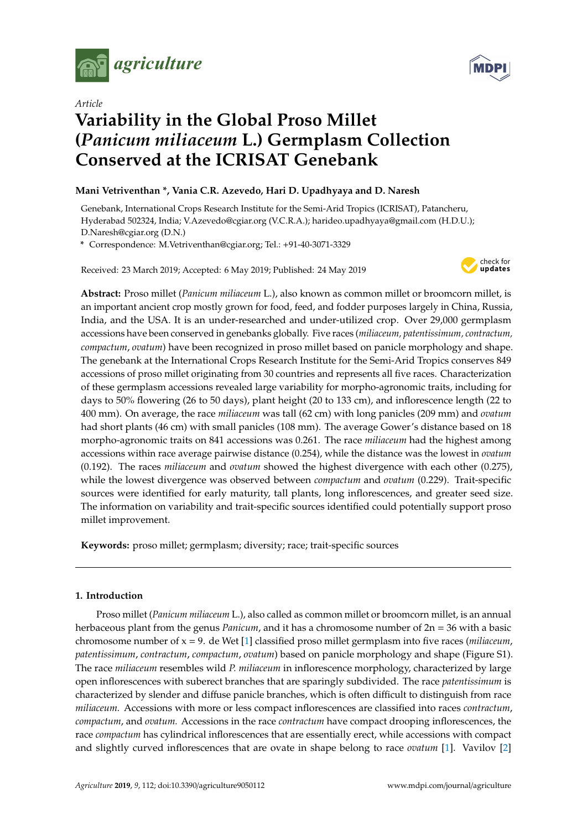





# **Variability in the Global Proso Millet (***Panicum miliaceum* **L.) Germplasm Collection Conserved at the ICRISAT Genebank**

# **Mani Vetriventhan \*, Vania C.R. Azevedo, Hari D. Upadhyaya and D. Naresh**

Genebank, International Crops Research Institute for the Semi-Arid Tropics (ICRISAT), Patancheru, Hyderabad 502324, India; V.Azevedo@cgiar.org (V.C.R.A.); harideo.upadhyaya@gmail.com (H.D.U.); D.Naresh@cgiar.org (D.N.)

**\*** Correspondence: M.Vetriventhan@cgiar.org; Tel.: +91-40-3071-3329

Received: 23 March 2019; Accepted: 6 May 2019; Published: 24 May 2019



**Abstract:** Proso millet (*Panicum miliaceum* L.), also known as common millet or broomcorn millet, is an important ancient crop mostly grown for food, feed, and fodder purposes largely in China, Russia, India, and the USA. It is an under-researched and under-utilized crop. Over 29,000 germplasm accessions have been conserved in genebanks globally. Five races (*miliaceum, patentissimum, contractum, compactum*, *ovatum*) have been recognized in proso millet based on panicle morphology and shape. The genebank at the International Crops Research Institute for the Semi-Arid Tropics conserves 849 accessions of proso millet originating from 30 countries and represents all five races. Characterization of these germplasm accessions revealed large variability for morpho-agronomic traits, including for days to 50% flowering (26 to 50 days), plant height (20 to 133 cm), and inflorescence length (22 to 400 mm). On average, the race *miliaceum* was tall (62 cm) with long panicles (209 mm) and *ovatum* had short plants (46 cm) with small panicles (108 mm). The average Gower's distance based on 18 morpho-agronomic traits on 841 accessions was 0.261. The race *miliaceum* had the highest among accessions within race average pairwise distance (0.254), while the distance was the lowest in *ovatum* (0.192). The races *miliaceum* and *ovatum* showed the highest divergence with each other (0.275), while the lowest divergence was observed between *compactum* and *ovatum* (0.229). Trait-specific sources were identified for early maturity, tall plants, long inflorescences, and greater seed size. The information on variability and trait-specific sources identified could potentially support proso millet improvement.

**Keywords:** proso millet; germplasm; diversity; race; trait-specific sources

# **1. Introduction**

Proso millet (*Panicum miliaceum* L.), also called as common millet or broomcorn millet, is an annual herbaceous plant from the genus *Panicum*, and it has a chromosome number of 2n = 36 with a basic chromosome number of x = 9. de Wet [\[1\]](#page-14-0) classified proso millet germplasm into five races (*miliaceum*, *patentissimum*, *contractum*, *compactum*, *ovatum*) based on panicle morphology and shape (Figure S1). The race *miliaceum* resembles wild *P. miliaceum* in inflorescence morphology, characterized by large open inflorescences with suberect branches that are sparingly subdivided. The race *patentissimum* is characterized by slender and diffuse panicle branches, which is often difficult to distinguish from race *miliaceum.* Accessions with more or less compact inflorescences are classified into races *contractum*, *compactum*, and *ovatum.* Accessions in the race *contractum* have compact drooping inflorescences, the race *compactum* has cylindrical inflorescences that are essentially erect, while accessions with compact and slightly curved inflorescences that are ovate in shape belong to race *ovatum* [\[1\]](#page-14-0). Vavilov [\[2\]](#page-14-1)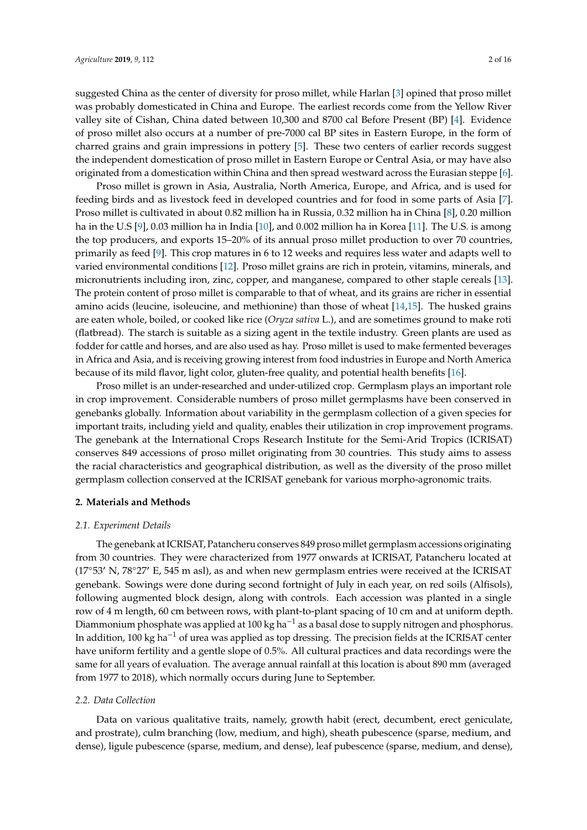suggested China as the center of diversity for proso millet, while Harlan [\[3\]](#page-14-2) opined that proso millet was probably domesticated in China and Europe. The earliest records come from the Yellow River valley site of Cishan, China dated between 10,300 and 8700 cal Before Present (BP) [\[4\]](#page-14-3). Evidence of proso millet also occurs at a number of pre-7000 cal BP sites in Eastern Europe, in the form of charred grains and grain impressions in pottery [\[5\]](#page-14-4). These two centers of earlier records suggest the independent domestication of proso millet in Eastern Europe or Central Asia, or may have also originated from a domestication within China and then spread westward across the Eurasian steppe [\[6\]](#page-14-5).

Proso millet is grown in Asia, Australia, North America, Europe, and Africa, and is used for feeding birds and as livestock feed in developed countries and for food in some parts of Asia [\[7\]](#page-14-6). Proso millet is cultivated in about 0.82 million ha in Russia, 0.32 million ha in China [\[8\]](#page-14-7), 0.20 million ha in the U.S [\[9\]](#page-14-8), 0.03 million ha in India [\[10\]](#page-14-9), and 0.002 million ha in Korea [\[11\]](#page-14-10). The U.S. is among the top producers, and exports 15–20% of its annual proso millet production to over 70 countries, primarily as feed [\[9\]](#page-14-8). This crop matures in 6 to 12 weeks and requires less water and adapts well to varied environmental conditions [\[12\]](#page-14-11). Proso millet grains are rich in protein, vitamins, minerals, and micronutrients including iron, zinc, copper, and manganese, compared to other staple cereals [\[13\]](#page-14-12). The protein content of proso millet is comparable to that of wheat, and its grains are richer in essential amino acids (leucine, isoleucine, and methionine) than those of wheat [\[14](#page-14-13)[,15\]](#page-14-14). The husked grains are eaten whole, boiled, or cooked like rice (*Oryza sativa* L.), and are sometimes ground to make roti (flatbread). The starch is suitable as a sizing agent in the textile industry. Green plants are used as fodder for cattle and horses, and are also used as hay. Proso millet is used to make fermented beverages in Africa and Asia, and is receiving growing interest from food industries in Europe and North America because of its mild flavor, light color, gluten-free quality, and potential health benefits [\[16\]](#page-14-15).

Proso millet is an under-researched and under-utilized crop. Germplasm plays an important role in crop improvement. Considerable numbers of proso millet germplasms have been conserved in genebanks globally. Information about variability in the germplasm collection of a given species for important traits, including yield and quality, enables their utilization in crop improvement programs. The genebank at the International Crops Research Institute for the Semi-Arid Tropics (ICRISAT) conserves 849 accessions of proso millet originating from 30 countries. This study aims to assess the racial characteristics and geographical distribution, as well as the diversity of the proso millet germplasm collection conserved at the ICRISAT genebank for various morpho-agronomic traits.

#### **2. Materials and Methods**

#### *2.1. Experiment Details*

The genebank at ICRISAT, Patancheru conserves 849 proso millet germplasm accessions originating from 30 countries. They were characterized from 1977 onwards at ICRISAT, Patancheru located at ( $17°53'$  N,  $78°27'$  E,  $545$  m asl), as and when new germplasm entries were received at the ICRISAT genebank. Sowings were done during second fortnight of July in each year, on red soils (Alfisols), following augmented block design, along with controls. Each accession was planted in a single row of 4 m length, 60 cm between rows, with plant-to-plant spacing of 10 cm and at uniform depth. Diammonium phosphate was applied at 100 kg ha<sup>-1</sup> as a basal dose to supply nitrogen and phosphorus. In addition, 100 kg ha−<sup>1</sup> of urea was applied as top dressing. The precision fields at the ICRISAT center have uniform fertility and a gentle slope of 0.5%. All cultural practices and data recordings were the same for all years of evaluation. The average annual rainfall at this location is about 890 mm (averaged from 1977 to 2018), which normally occurs during June to September.

## *2.2. Data Collection*

Data on various qualitative traits, namely, growth habit (erect, decumbent, erect geniculate, and prostrate), culm branching (low, medium, and high), sheath pubescence (sparse, medium, and dense), ligule pubescence (sparse, medium, and dense), leaf pubescence (sparse, medium, and dense),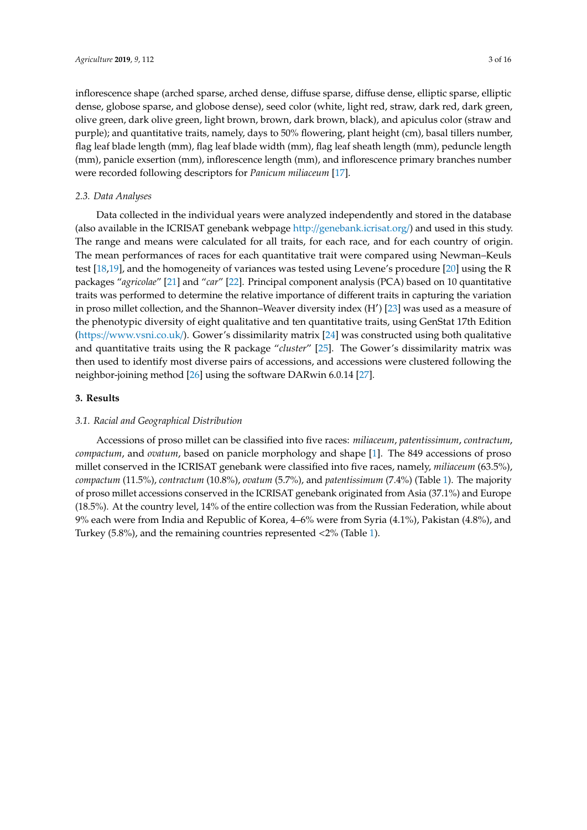inflorescence shape (arched sparse, arched dense, diffuse sparse, diffuse dense, elliptic sparse, elliptic dense, globose sparse, and globose dense), seed color (white, light red, straw, dark red, dark green, olive green, dark olive green, light brown, brown, dark brown, black), and apiculus color (straw and purple); and quantitative traits, namely, days to 50% flowering, plant height (cm), basal tillers number, flag leaf blade length (mm), flag leaf blade width (mm), flag leaf sheath length (mm), peduncle length (mm), panicle exsertion (mm), inflorescence length (mm), and inflorescence primary branches number were recorded following descriptors for *Panicum miliaceum* [\[17\]](#page-14-16).

#### *2.3. Data Analyses*

Data collected in the individual years were analyzed independently and stored in the database (also available in the ICRISAT genebank webpage http://[genebank.icrisat.org](http://genebank.icrisat.org/)/) and used in this study. The range and means were calculated for all traits, for each race, and for each country of origin. The mean performances of races for each quantitative trait were compared using Newman–Keuls test [\[18,](#page-14-17)[19\]](#page-15-0), and the homogeneity of variances was tested using Levene's procedure [\[20\]](#page-15-1) using the R packages "*agricolae*" [\[21\]](#page-15-2) and "*car*" [\[22\]](#page-15-3). Principal component analysis (PCA) based on 10 quantitative traits was performed to determine the relative importance of different traits in capturing the variation in proso millet collection, and the Shannon–Weaver diversity index (H') [\[23\]](#page-15-4) was used as a measure of the phenotypic diversity of eight qualitative and ten quantitative traits, using GenStat 17th Edition (https://[www.vsni.co.uk](https://www.vsni.co.uk/)/). Gower's dissimilarity matrix [\[24\]](#page-15-5) was constructed using both qualitative and quantitative traits using the R package "*cluster*" [\[25\]](#page-15-6). The Gower's dissimilarity matrix was then used to identify most diverse pairs of accessions, and accessions were clustered following the neighbor-joining method [\[26\]](#page-15-7) using the software DARwin 6.0.14 [\[27\]](#page-15-8).

## **3. Results**

# *3.1. Racial and Geographical Distribution*

Accessions of proso millet can be classified into five races: *miliaceum*, *patentissimum*, *contractum*, *compactum*, and *ovatum*, based on panicle morphology and shape [\[1\]](#page-14-0). The 849 accessions of proso millet conserved in the ICRISAT genebank were classified into five races, namely, *miliaceum* (63.5%), *compactum* (11.5%), *contractum* (10.8%), *ovatum* (5.7%), and *patentissimum* (7.4%) (Table [1\)](#page-3-0). The majority of proso millet accessions conserved in the ICRISAT genebank originated from Asia (37.1%) and Europe (18.5%). At the country level, 14% of the entire collection was from the Russian Federation, while about 9% each were from India and Republic of Korea, 4–6% were from Syria (4.1%), Pakistan (4.8%), and Turkey (5.8%), and the remaining countries represented <2% (Table [1\)](#page-3-0).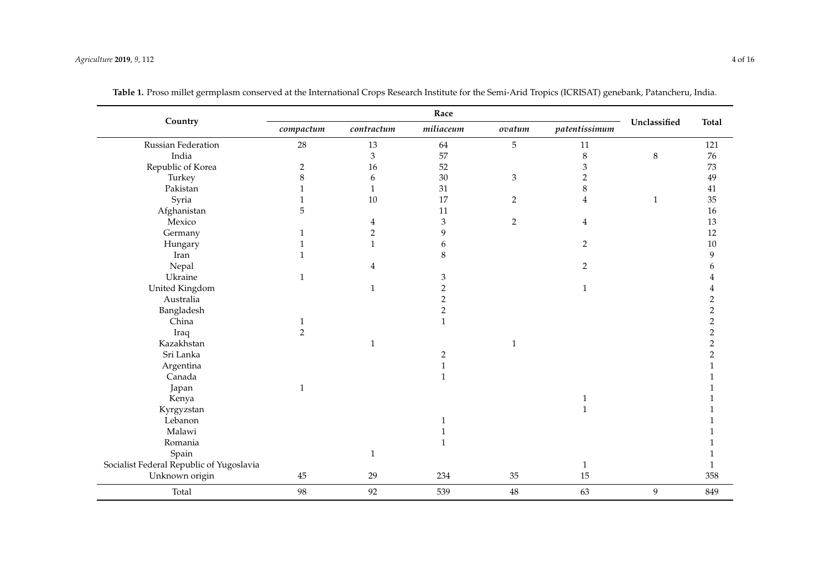<span id="page-3-0"></span>

|                                          |                  |                             | Race           |                |                |                |                  |
|------------------------------------------|------------------|-----------------------------|----------------|----------------|----------------|----------------|------------------|
| Country                                  | $\it{compactum}$ | contractum                  | miliaceum      | $ovatum$       | patentissimum  | Unclassified   | <b>Total</b>     |
| Russian Federation                       | 28               | 13                          | 64             | 5              | 11             |                | 121              |
| India                                    |                  | $\ensuremath{\mathfrak{Z}}$ | 57             |                | $\,8\,$        | $\,8\,$        | 76               |
| Republic of Korea                        | $\overline{c}$   | 16                          | 52             |                | $\mathfrak{Z}$ |                | 73               |
| Turkey                                   | 8                | 6                           | $30\,$         | 3              | $\overline{2}$ |                | 49               |
| Pakistan                                 | 1                | $\mathbf{1}$                | 31             |                | 8              |                | 41               |
| Syria                                    | 1                | $10\,$                      | 17             | 2              | $\overline{4}$ | $\mathbf{1}$   | 35               |
| Afghanistan                              | 5                |                             | 11             |                |                |                | 16               |
| Mexico                                   |                  | 4                           | 3              | $\overline{2}$ | 4              |                | 13               |
| Germany                                  | $\mathbf{1}$     | $\boldsymbol{2}$            | 9              |                |                |                | 12               |
| Hungary                                  | $\mathbf{1}$     | $\mathbf{1}$                | 6              |                | $\overline{2}$ |                | $10\,$           |
| Iran                                     | 1                |                             | 8              |                |                |                | 9                |
| Nepal                                    |                  | 4                           |                |                | $\overline{2}$ |                | 6                |
| Ukraine                                  | $\mathbf{1}$     |                             | 3              |                |                |                |                  |
| United Kingdom                           |                  | $\mathbf{1}$                | $\sqrt{2}$     |                | $\mathbf{1}$   |                |                  |
| Australia                                |                  |                             | $\sqrt{2}$     |                |                |                | $\boldsymbol{2}$ |
| Bangladesh                               |                  |                             | $\overline{2}$ |                |                |                | $\boldsymbol{2}$ |
| China                                    | $\mathbf{1}$     |                             | $\mathbf{1}$   |                |                |                | $\overline{c}$   |
| Iraq                                     | $\overline{2}$   |                             |                |                |                |                | $\overline{2}$   |
| Kazakhstan                               |                  | $\mathbf{1}$                |                | 1              |                |                | $\sqrt{2}$       |
| Sri Lanka                                |                  |                             | $\overline{2}$ |                |                |                | $\sqrt{2}$       |
| Argentina                                |                  |                             | $\mathbf{1}$   |                |                |                | $\mathbf{1}$     |
| Canada                                   |                  |                             | $\mathbf{1}$   |                |                |                |                  |
| Japan                                    | $\mathbf{1}$     |                             |                |                |                |                |                  |
| Kenya                                    |                  |                             |                |                | $\mathbf{1}$   |                |                  |
| Kyrgyzstan                               |                  |                             |                |                | $\mathbf{1}$   |                |                  |
| Lebanon                                  |                  |                             | 1              |                |                |                |                  |
| Malawi                                   |                  |                             | $\mathbf{1}$   |                |                |                |                  |
| Romania                                  |                  |                             | $\mathbf{1}$   |                |                |                |                  |
| Spain                                    |                  | $\mathbf{1}$                |                |                |                |                |                  |
| Socialist Federal Republic of Yugoslavia |                  |                             |                |                | $\mathbf{1}$   |                | $\mathbf{1}$     |
| Unknown origin                           | 45               | 29                          | 234            | 35             | 15             |                | 358              |
| Total                                    | 98               | 92                          | 539            | 48             | 63             | $\overline{9}$ | 849              |

| Table 1. Proso millet germplasm conserved at the International Crops Research Institute for the Semi-Arid Tropics (ICRISAT) genebank, Patancheru, India |  |
|---------------------------------------------------------------------------------------------------------------------------------------------------------|--|
|                                                                                                                                                         |  |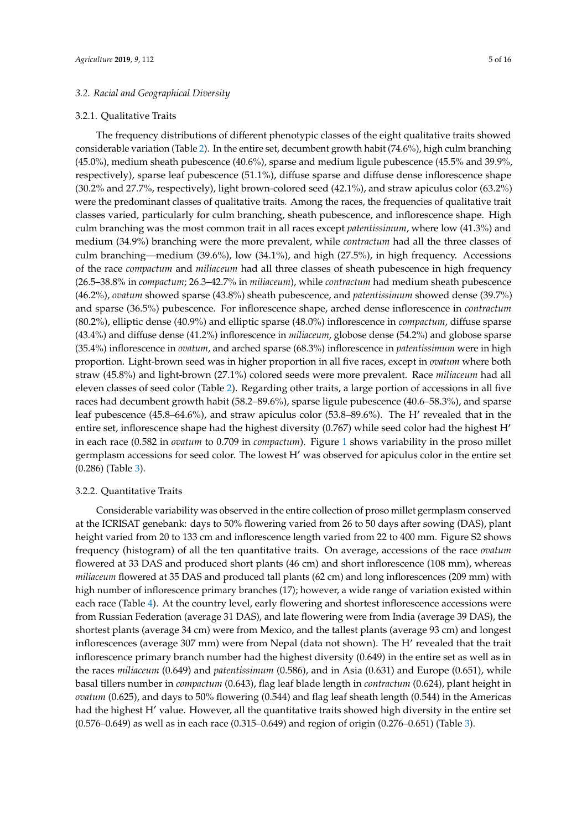# *3.2. Racial and Geographical Diversity*

### 3.2.1. Qualitative Traits

The frequency distributions of different phenotypic classes of the eight qualitative traits showed considerable variation (Table [2\)](#page-6-0). In the entire set, decumbent growth habit (74.6%), high culm branching (45.0%), medium sheath pubescence (40.6%), sparse and medium ligule pubescence (45.5% and 39.9%, respectively), sparse leaf pubescence (51.1%), diffuse sparse and diffuse dense inflorescence shape (30.2% and 27.7%, respectively), light brown-colored seed (42.1%), and straw apiculus color (63.2%) were the predominant classes of qualitative traits. Among the races, the frequencies of qualitative trait classes varied, particularly for culm branching, sheath pubescence, and inflorescence shape. High culm branching was the most common trait in all races except *patentissimum*, where low (41.3%) and medium (34.9%) branching were the more prevalent, while *contractum* had all the three classes of culm branching—medium (39.6%), low (34.1%), and high (27.5%), in high frequency. Accessions of the race *compactum* and *miliaceum* had all three classes of sheath pubescence in high frequency (26.5–38.8% in *compactum*; 26.3–42.7% in *miliaceum*), while *contractum* had medium sheath pubescence (46.2%), *ovatum* showed sparse (43.8%) sheath pubescence, and *patentissimum* showed dense (39.7%) and sparse (36.5%) pubescence. For inflorescence shape, arched dense inflorescence in *contractum* (80.2%), elliptic dense (40.9%) and elliptic sparse (48.0%) inflorescence in *compactum*, diffuse sparse (43.4%) and diffuse dense (41.2%) inflorescence in *miliaceum*, globose dense (54.2%) and globose sparse (35.4%) inflorescence in *ovatum*, and arched sparse (68.3%) inflorescence in *patentissimum* were in high proportion. Light-brown seed was in higher proportion in all five races, except in *ovatum* where both straw (45.8%) and light-brown (27.1%) colored seeds were more prevalent. Race *miliaceum* had all eleven classes of seed color (Table [2\)](#page-6-0). Regarding other traits, a large portion of accessions in all five races had decumbent growth habit (58.2–89.6%), sparse ligule pubescence (40.6–58.3%), and sparse leaf pubescence (45.8–64.6%), and straw apiculus color (53.8–89.6%). The H' revealed that in the entire set, inflorescence shape had the highest diversity (0.767) while seed color had the highest  $H'$ in each race (0.582 in *ovatum* to 0.709 in *compactum*). Figure [1](#page-8-0) shows variability in the proso millet germplasm accessions for seed color. The lowest  $H'$  was observed for apiculus color in the entire set (0.286) (Table [3\)](#page-6-1).

#### 3.2.2. Quantitative Traits

Considerable variability was observed in the entire collection of proso millet germplasm conserved at the ICRISAT genebank: days to 50% flowering varied from 26 to 50 days after sowing (DAS), plant height varied from 20 to 133 cm and inflorescence length varied from 22 to 400 mm. Figure S2 shows frequency (histogram) of all the ten quantitative traits. On average, accessions of the race *ovatum* flowered at 33 DAS and produced short plants (46 cm) and short inflorescence (108 mm), whereas *miliaceum* flowered at 35 DAS and produced tall plants (62 cm) and long inflorescences (209 mm) with high number of inflorescence primary branches (17); however, a wide range of variation existed within each race (Table [4\)](#page-7-0). At the country level, early flowering and shortest inflorescence accessions were from Russian Federation (average 31 DAS), and late flowering were from India (average 39 DAS), the shortest plants (average 34 cm) were from Mexico, and the tallest plants (average 93 cm) and longest inflorescences (average 307 mm) were from Nepal (data not shown). The H' revealed that the trait inflorescence primary branch number had the highest diversity (0.649) in the entire set as well as in the races *miliaceum* (0.649) and *patentissimum* (0.586), and in Asia (0.631) and Europe (0.651), while basal tillers number in *compactum* (0.643), flag leaf blade length in *contractum* (0.624), plant height in *ovatum* (0.625), and days to 50% flowering (0.544) and flag leaf sheath length (0.544) in the Americas had the highest  $H'$  value. However, all the quantitative traits showed high diversity in the entire set (0.576–0.649) as well as in each race (0.315–0.649) and region of origin (0.276–0.651) (Table [3\)](#page-6-1).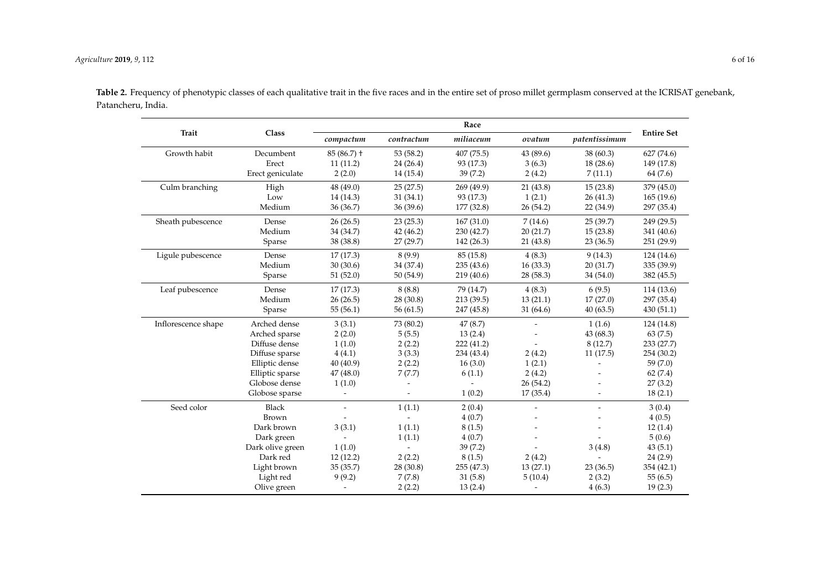$\overline{\phantom{0}}$ 

 $\sim$ 

|                     |                  |                          |            | Race       |           |               |                   |
|---------------------|------------------|--------------------------|------------|------------|-----------|---------------|-------------------|
| Trait               | Class            | compactum                | contractum | miliaceum  | ovatum    | patentissimum | <b>Entire Set</b> |
| Growth habit        | Decumbent        | $85(86.7)$ +             | 53 (58.2)  | 407 (75.5) | 43 (89.6) | 38 (60.3)     | 627 (74.6)        |
|                     | Erect            | 11(11.2)                 | 24(26.4)   | 93 (17.3)  | 3(6.3)    | 18(28.6)      | 149 (17.8)        |
|                     | Erect geniculate | 2(2.0)                   | 14 (15.4)  | 39(7.2)    | 2(4.2)    | 7(11.1)       | 64 (7.6)          |
| Culm branching      | High             | 48 (49.0)                | 25(27.5)   | 269 (49.9) | 21(43.8)  | 15(23.8)      | 379 (45.0)        |
|                     | Low              | 14 (14.3)                | 31(34.1)   | 93 (17.3)  | 1(2.1)    | 26(41.3)      | 165(19.6)         |
|                     | Medium           | 36 (36.7)                | 36(39.6)   | 177 (32.8) | 26 (54.2) | 22 (34.9)     | 297 (35.4)        |
| Sheath pubescence   | Dense            | 26(26.5)                 | 23(25.3)   | 167(31.0)  | 7(14.6)   | 25(39.7)      | 249 (29.5)        |
|                     | Medium           | 34 (34.7)                | 42(46.2)   | 230 (42.7) | 20(21.7)  | 15(23.8)      | 341 (40.6)        |
|                     | Sparse           | 38 (38.8)                | 27(29.7)   | 142 (26.3) | 21 (43.8) | 23(36.5)      | 251 (29.9)        |
| Ligule pubescence   | Dense            | 17(17.3)                 | 8(9.9)     | 85 (15.8)  | 4(8.3)    | 9(14.3)       | 124 (14.6)        |
|                     | Medium           | 30(30.6)                 | 34 (37.4)  | 235(43.6)  | 16(33.3)  | 20(31.7)      | 335 (39.9)        |
|                     | Sparse           | 51(52.0)                 | 50 (54.9)  | 219 (40.6) | 28 (58.3) | 34 (54.0)     | 382 (45.5)        |
| Leaf pubescence     | Dense            | 17(17.3)                 | 8(8.8)     | 79 (14.7)  | 4(8.3)    | 6(9.5)        | 114 (13.6)        |
|                     | Medium           | 26(26.5)                 | 28 (30.8)  | 213(39.5)  | 13(21.1)  | 17(27.0)      | 297 (35.4)        |
|                     | Sparse           | 55(56.1)                 | 56(61.5)   | 247 (45.8) | 31 (64.6) | 40(63.5)      | 430(51.1)         |
| Inflorescence shape | Arched dense     | 3(3.1)                   | 73 (80.2)  | 47(8.7)    |           | 1(1.6)        | 124 (14.8)        |
|                     | Arched sparse    | 2(2.0)                   | 5(5.5)     | 13(2.4)    |           | 43(68.3)      | 63(7.5)           |
|                     | Diffuse dense    | 1(1.0)                   | 2(2.2)     | 222 (41.2) |           | 8(12.7)       | 233 (27.7)        |
|                     | Diffuse sparse   | 4(4.1)                   | 3(3.3)     | 234 (43.4) | 2(4.2)    | 11(17.5)      | 254 (30.2)        |
|                     | Elliptic dense   | 40 (40.9)                | 2(2.2)     | 16(3.0)    | 1(2.1)    |               | 59(7.0)           |
|                     | Elliptic sparse  | 47 (48.0)                | 7(7.7)     | 6(1.1)     | 2(4.2)    |               | 62(7.4)           |
|                     | Globose dense    | 1(1.0)                   |            |            | 26 (54.2) |               | 27(3.2)           |
|                     | Globose sparse   | $\overline{\phantom{a}}$ |            | 1(0.2)     | 17(35.4)  |               | 18(2.1)           |
| Seed color          | <b>Black</b>     | $\overline{a}$           | 1(1.1)     | 2(0.4)     |           |               | 3(0.4)            |
|                     | Brown            |                          |            | 4(0.7)     |           |               | 4(0.5)            |
|                     | Dark brown       | 3(3.1)                   | 1(1.1)     | 8(1.5)     |           |               | 12(1.4)           |
|                     | Dark green       |                          | 1(1.1)     | 4(0.7)     |           |               | 5(0.6)            |
|                     | Dark olive green | 1(1.0)                   |            | 39(7.2)    |           | 3(4.8)        | 43(5.1)           |
|                     | Dark red         | 12(12.2)                 | 2(2.2)     | 8(1.5)     | 2(4.2)    |               | 24(2.9)           |
|                     | Light brown      | 35(35.7)                 | 28 (30.8)  | 255 (47.3) | 13(27.1)  | 23(36.5)      | 354 (42.1)        |
|                     | Light red        | 9(9.2)                   | 7(7.8)     | 31(5.8)    | 5(10.4)   | 2(3.2)        | 55(6.5)           |

Olive green - 2 (2.2) 13 (2.4) - 4 (6.3) 19 (2.3)

Table 2. Frequency of phenotypic classes of each qualitative trait in the five races and in the entire set of proso millet germplasm conserved at the ICRISAT genebank, Patancheru, India.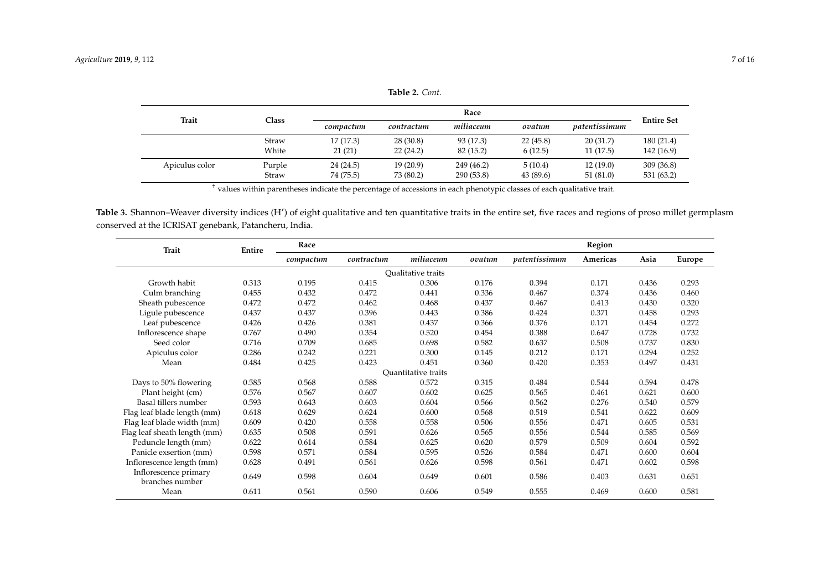| Trait          |              | Race      |            |            |           |               |                   |
|----------------|--------------|-----------|------------|------------|-----------|---------------|-------------------|
|                | <b>Class</b> | compactum | contractum | miliaceum  | ovatum    | patentissimum | <b>Entire Set</b> |
|                | Straw        | 17(17.3)  | 28(30.8)   | 93 (17.3)  | 22(45.8)  | 20(31.7)      | 180(21.4)         |
|                | White        | 21(21)    | 22(24.2)   | 82 (15.2)  | 6(12.5)   | 11 (17.5)     | 142 (16.9)        |
| Apiculus color | Purple       | 24 (24.5) | 19 (20.9)  | 249 (46.2) | 5(10.4)   | 12(19.0)      | 309(36.8)         |
|                | Straw        | 74 (75.5) | 73 (80.2)  | 290 (53.8) | 43 (89.6) | 51 (81.0)     | 531 (63.2)        |

**Table 2.** *Cont.*

† values within parentheses indicate the percentage of accessions in each phenotypic classes of each qualitative trait.

Table 3. Shannon–Weaver diversity indices (H') of eight qualitative and ten quantitative traits in the entire set, five races and regions of proso millet germplasm conserved at the ICRISAT genebank, Patancheru, India.

<span id="page-6-1"></span><span id="page-6-0"></span>

| <b>Trait</b>                             | Entire | Race      |            |                            |        |               | Region   |       |        |
|------------------------------------------|--------|-----------|------------|----------------------------|--------|---------------|----------|-------|--------|
|                                          |        | compactum | contractum | miliaceum                  | ovatum | patentissimum | Americas | Asia  | Europe |
|                                          |        |           |            | Qualitative traits         |        |               |          |       |        |
| Growth habit                             | 0.313  | 0.195     | 0.415      | 0.306                      | 0.176  | 0.394         | 0.171    | 0.436 | 0.293  |
| Culm branching                           | 0.455  | 0.432     | 0.472      | 0.441                      | 0.336  | 0.467         | 0.374    | 0.436 | 0.460  |
| Sheath pubescence                        | 0.472  | 0.472     | 0.462      | 0.468                      | 0.437  | 0.467         | 0.413    | 0.430 | 0.320  |
| Ligule pubescence                        | 0.437  | 0.437     | 0.396      | 0.443                      | 0.386  | 0.424         | 0.371    | 0.458 | 0.293  |
| Leaf pubescence                          | 0.426  | 0.426     | 0.381      | 0.437                      | 0.366  | 0.376         | 0.171    | 0.454 | 0.272  |
| Inflorescence shape                      | 0.767  | 0.490     | 0.354      | 0.520                      | 0.454  | 0.388         | 0.647    | 0.728 | 0.732  |
| Seed color                               | 0.716  | 0.709     | 0.685      | 0.698                      | 0.582  | 0.637         | 0.508    | 0.737 | 0.830  |
| Apiculus color                           | 0.286  | 0.242     | 0.221      | 0.300                      | 0.145  | 0.212         | 0.171    | 0.294 | 0.252  |
| Mean                                     | 0.484  | 0.425     | 0.423      | 0.451                      | 0.360  | 0.420         | 0.353    | 0.497 | 0.431  |
|                                          |        |           |            | <b>Ouantitative traits</b> |        |               |          |       |        |
| Days to 50% flowering                    | 0.585  | 0.568     | 0.588      | 0.572                      | 0.315  | 0.484         | 0.544    | 0.594 | 0.478  |
| Plant height (cm)                        | 0.576  | 0.567     | 0.607      | 0.602                      | 0.625  | 0.565         | 0.461    | 0.621 | 0.600  |
| Basal tillers number                     | 0.593  | 0.643     | 0.603      | 0.604                      | 0.566  | 0.562         | 0.276    | 0.540 | 0.579  |
| Flag leaf blade length (mm)              | 0.618  | 0.629     | 0.624      | 0.600                      | 0.568  | 0.519         | 0.541    | 0.622 | 0.609  |
| Flag leaf blade width (mm)               | 0.609  | 0.420     | 0.558      | 0.558                      | 0.506  | 0.556         | 0.471    | 0.605 | 0.531  |
| Flag leaf sheath length (mm)             | 0.635  | 0.508     | 0.591      | 0.626                      | 0.565  | 0.556         | 0.544    | 0.585 | 0.569  |
| Peduncle length (mm)                     | 0.622  | 0.614     | 0.584      | 0.625                      | 0.620  | 0.579         | 0.509    | 0.604 | 0.592  |
| Panicle exsertion (mm)                   | 0.598  | 0.571     | 0.584      | 0.595                      | 0.526  | 0.584         | 0.471    | 0.600 | 0.604  |
| Inflorescence length (mm)                | 0.628  | 0.491     | 0.561      | 0.626                      | 0.598  | 0.561         | 0.471    | 0.602 | 0.598  |
| Inflorescence primary<br>branches number | 0.649  | 0.598     | 0.604      | 0.649                      | 0.601  | 0.586         | 0.403    | 0.631 | 0.651  |
| Mean                                     | 0.611  | 0.561     | 0.590      | 0.606                      | 0.549  | 0.555         | 0.469    | 0.600 | 0.581  |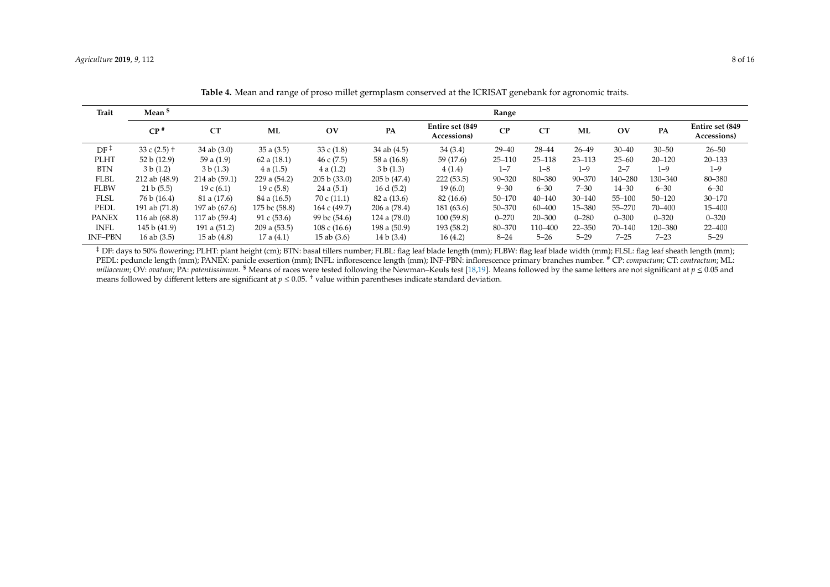| <b>Trait</b>    | Mean <sup>\$</sup> |                 |               |                               |                |                                | Range      |            |            |                       |            |                                |
|-----------------|--------------------|-----------------|---------------|-------------------------------|----------------|--------------------------------|------------|------------|------------|-----------------------|------------|--------------------------------|
|                 | CP <sup>†</sup>    | CT              | <b>ML</b>     | $\overline{\text{O}}\text{V}$ | PA             | Entire set (849<br>Accessions) | CP         | CT         | ML         | $\overline{\text{O}}$ | PA         | Entire set (849<br>Accessions) |
| $DF^{\ddagger}$ | 33 c $(2.5)$ +     | $34$ ab $(3.0)$ | 35a(3.5)      | 33 c $(1.8)$                  | 34 ab $(4.5)$  | 34(3.4)                        | $29 - 40$  | $28 - 44$  | $26 - 49$  | $30 - 40$             | $30 - 50$  | $26 - 50$                      |
| <b>PLHT</b>     | 52 b (12.9)        | 59 a $(1.9)$    | 62 a $(18.1)$ | 46c(7.5)                      | 58 a (16.8)    | 59 (17.6)                      | $25 - 110$ | $25 - 118$ | $23 - 113$ | $25 - 60$             | $20 - 120$ | $20 - 133$                     |
| <b>BTN</b>      | 3 b (1.2)          | 3 b (1.3)       | 4a(1.5)       | 4a(1.2)                       | 3 b (1.3)      | 4(1.4)                         | $1 - 7$    | $1 - 8$    | $1 - 9$    | $2 - 7$               | $1 - 9$    | $1 - 9$                        |
| <b>FLBL</b>     | 212 ab (48.9)      | 214 ab (59.1)   | 229 a (54.2)  | 205 b (33.0)                  | 205 b (47.4)   | 222(53.5)                      | $90 - 320$ | 80-380     | $90 - 370$ | 140-280               | 130-340    | 80-380                         |
| <b>FLBW</b>     | 21 b (5.5)         | 19c(6.1)        | 19 c $(5.8)$  | 24a(5.1)                      | 16 d $(5.2)$   | 19(6.0)                        | $9 - 30$   | $6 - 30$   | $7 - 30$   | $14 - 30$             | $6 - 30$   | $6 - 30$                       |
| <b>FLSL</b>     | 76 b (16.4)        | 81 a (17.6)     | 84 a (16.5)   | 70c(11.1)                     | 82 a (13.6)    | 82 (16.6)                      | $50 - 170$ | $40 - 140$ | $30 - 140$ | $55 - 100$            | $50 - 120$ | $30 - 170$                     |
| PEDL            | 191 ab (71.8)      | 197 ab (67.6)   | 175 bc (58.8) | 164 c (49.7)                  | 206 a (78.4)   | 181 (63.6)                     | 50-370     | 60-400     | 15-380     | $55 - 270$            | 70–400     | 15–400                         |
| <b>PANEX</b>    | 116 ab (68.8)      | 117 ab (59.4)   | 91 c $(53.6)$ | 99 bc (54.6)                  | 124 a $(78.0)$ | 100(59.8)                      | $0 - 270$  | $20 - 300$ | $0 - 280$  | $0 - 300$             | $0 - 320$  | $0 - 320$                      |
| <b>INFL</b>     | 145 b (41.9)       | 191 a (51.2)    | 209a(53.5)    | 108c(16.6)                    | 198 a (50.9)   | 193 (58.2)                     | 80-370     | 110-400    | $22 - 350$ | $70 - 140$            | 120-380    | $22 - 400$                     |
| <b>INF-PBN</b>  | 16 ab $(3.5)$      | 15 ab $(4.8)$   | 17a(4.1)      | $15$ ab $(3.6)$               | 14 b (3.4)     | 16(4.2)                        | $8 - 24$   | $5 - 26$   | $5 - 29$   | $7 - 25$              | $7 - 23$   | $5 - 29$                       |

**Table 4.** Mean and range of proso millet germplasm conserved at the ICRISAT genebank for agronomic traits.

<span id="page-7-0"></span><sup>‡</sup> DF: days to 50% flowering; PLHT: plant height (cm); BTN: basal tillers number; FLBL: flag leaf blade length (mm); FLBW: flag leaf blade width (mm); FLSL: flag leaf sheath length (mm); PEDL: peduncle length (mm); PANEX: panicle exsertion (mm); INFL: inflorescence length (mm); INF-PBN: inflorescence primary branches number. # CP: *compactum*; CT: *contractum*; ML: *miliaceum*; OV: *ovatum;* PA: *patentissimum.* \$ Means of races were tested following the Newman–Keuls test [\[18,](#page-14-18)[19\]](#page-15-9). Means followed by the same letters are not significant at *p* ≤ 0.05 and means followed by different letters are significant at  $p \le 0.05$ . <sup>†</sup> value within parentheses indicate standard deviation.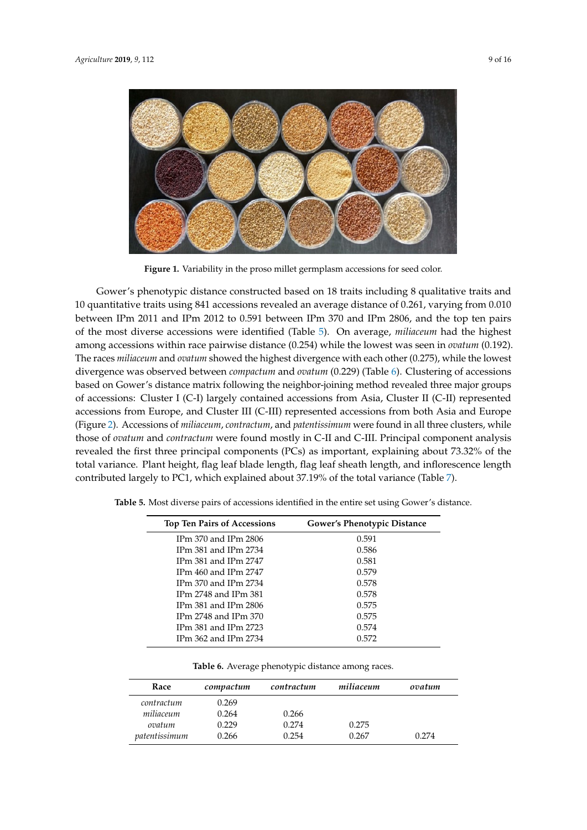<span id="page-8-0"></span>

**Figure 1.** Variability in the proso millet germplasm accessions for seed color. **Figure 1.** Variability in the proso millet germplasm accessions for seed color.

Gower's phenotypic distance constructed based on 18 traits including 8 qualitative traits and 10 quantitative traits using 841 accessions revealed an average distance of 0.261, varying from 0.010 10 quantitative traits using 841 accessions revealed an average distance of 0.261, varying from 0.010<br>between IPm 2011 and IPm 2012 to 0.591 between IPm 370 and IPm 2806, and the top ten pairs of the most diverse [a](#page-8-1)ccessions were identified (Table 5). On average, *miliaceum* had the highest among accessions within race pairwise distance (0.254) while the lowest was seen in *ovatum* (0.192). *miliaceum* and *ovatum* showed the highest divergence with each other (0.275), while the lowest The races *miliaceum* and *ovatum* showed the highest divergence with each other (0.275), while the lowest divergence was observed between *compactum* and *ovatum* (0.229).(Table 6). Clustering of accessions divergence was observed between *compactum* and *ovatum* (0.229) (Table [6\)](#page-8-2). Clustering of accessions based on Gower's distance matrix following the neighbor-joining method revealed three major groups of accessions: Cluster I (C-I) largely contained accessions from Asia, Cluster II (C-II) represented accessions from Europe, and Cluster III (C-III) represented accessions from both Asia and Europe accessions from Europe, and Cluster III (C-III) represented accessions from both Asia and Europe<br>(Figure 2). Accessions of *miliaceum, contractum,* and *patentissimum* were found in all three clusters, while those of *ovatum* and *contractum* were found mostly in C-II and C-III. Principal component analysis revealed the first three principal components (PCs) as important, explaining about 73.32% of the total variance. Plant height, flag leaf blade length, flag leaf sheath length, and inflorescence length contributed largely to PC1, which explained about 37.19% of the total variance (Table [7\)](#page-9-1).

| <b>Top Ten Pairs of Accessions</b> | <b>Gower's Phenotypic Distance</b> |
|------------------------------------|------------------------------------|
| IPm 370 and IPm 2806               | 0.591                              |
| IPm 381 and IPm 2734               | 0.586                              |
| IPm $381$ and IPm $2747$           | 0.581                              |
| IPm $460$ and IPm $2747$           | 0.579                              |
| IPm 370 and IPm 2734               | 0.578                              |
| IPm 2748 and IPm 381               | 0.578                              |
| IPm 381 and IPm 2806               | 0.575                              |
| IPm 2748 and IPm 370               | 0.575                              |
| IPm $381$ and IPm $2723$           | 0.574                              |
| IPm 362 and IPm 2734               | 0.572                              |

<span id="page-8-1"></span>**Table 5.** Most diverse pairs of accessions identified in the entire set using Gower's distance.

**Table 6.** Average phenotypic distance among races.

<span id="page-8-2"></span>

| Race          | compactum | contractum | miliaceum | ovatum |
|---------------|-----------|------------|-----------|--------|
| contractum    | 0.269     |            |           |        |
| miliaceum     | 0.264     | 0.266      |           |        |
| ovatum        | 0.229     | 0.274      | 0.275     |        |
| patentissimum | 0.266     | 0.254      | 0.267     | 0.274  |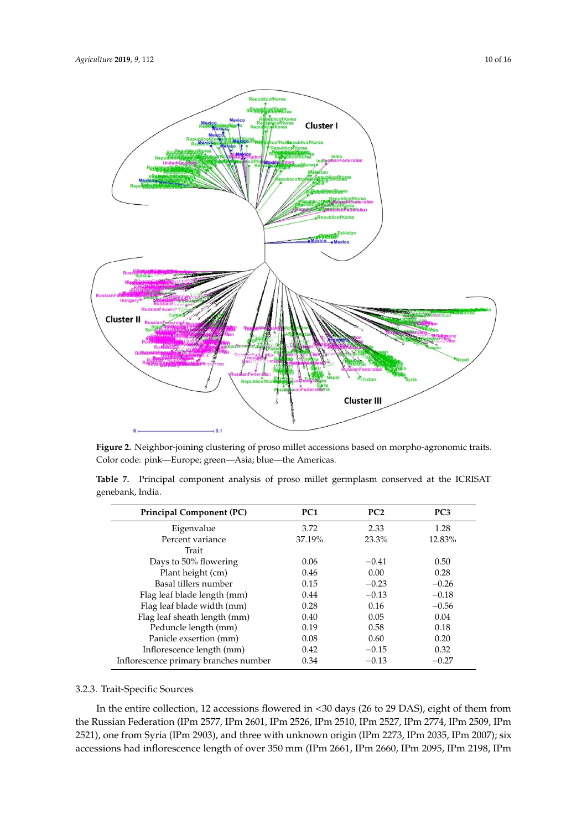<span id="page-9-0"></span>

**Figure 2.** Neighbor-joining clustering of proso millet accessions based on morpho-agronomic traits. **Figure 2.** Neighbor-joining clustering of proso millet accessions based on morpho-agronomic traits. Color code: pink—Europe; green—Asia; blue—the Americas. Color code: pink—Europe; green—Asia; blue—the Americas.

<span id="page-9-1"></span>

|                  |  |  |  | Table 7. Principal component analysis of proso millet germplasm conserved at the ICRISAT |  |  |
|------------------|--|--|--|------------------------------------------------------------------------------------------|--|--|
| genebank, India. |  |  |  |                                                                                          |  |  |

| <b>Principal Component (PC)</b>       | PC <sub>1</sub> | PC2     | PC <sub>3</sub> |
|---------------------------------------|-----------------|---------|-----------------|
| Eigenvalue                            | 3.72            | 2.33    | 1.28            |
| Percent variance                      | 37.19%          | 23.3%   | 12.83%          |
| Trait                                 |                 |         |                 |
| Days to 50% flowering                 | 0.06            | $-0.41$ | 0.50            |
| Plant height (cm)                     | 0.46            | 0.00    | 0.28            |
| Basal tillers number                  | 0.15            | $-0.23$ | $-0.26$         |
| Flag leaf blade length (mm)           | 0.44            | $-0.13$ | $-0.18$         |
| Flag leaf blade width (mm)            | 0.28            | 0.16    | $-0.56$         |
| Flag leaf sheath length (mm)          | 0.40            | 0.05    | 0.04            |
| Peduncle length (mm)                  | 0.19            | 0.58    | 0.18            |
| Panicle exsertion (mm)                | 0.08            | 0.60    | 0.20            |
| Inflorescence length (mm)             | 0.42            | $-0.15$ | 0.32            |
| Inflorescence primary branches number | 0.34            | $-0.13$ | $-0.27$         |

# 3.2.3. Trait-Specific Sources

In the entire collection, 12 accessions flowered in <30 days (26 to 29 DAS), eight of them from in the entire collection, 12 accessions flowered in <30 days (26 to 29 DAS), eight of them from<br>the Russian Federation (IPm 2577, IPm 2601, IPm 2526, IPm 2510, IPm 2527, IPm 2774, IPm 2509, IPm 2521), one from Syria (IPm 2903), and three with unknown origin (IPm 2273, IPm 2035, IPm 2007); six accessions had inflorescence length of over 350 mm (IPm 2661, IPm 2660, IPm 2095, IPm 2198, IPm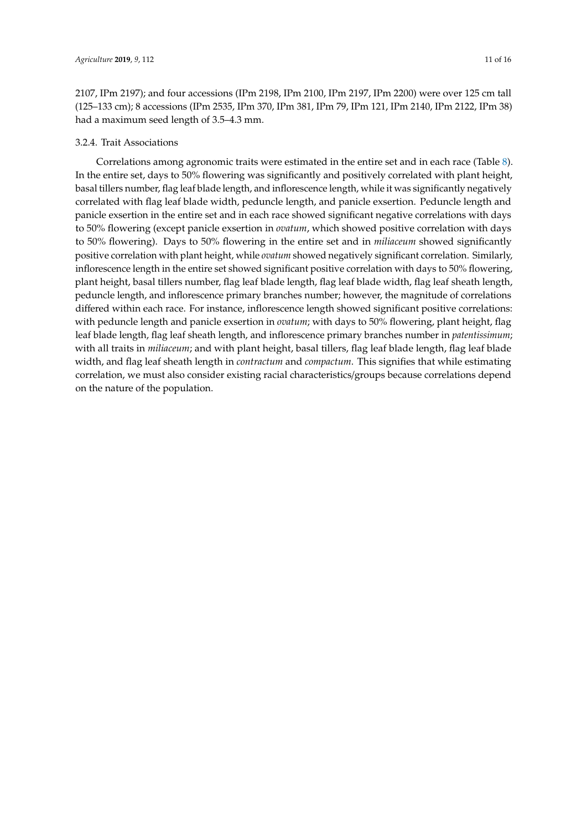2107, IPm 2197); and four accessions (IPm 2198, IPm 2100, IPm 2197, IPm 2200) were over 125 cm tall (125–133 cm); 8 accessions (IPm 2535, IPm 370, IPm 381, IPm 79, IPm 121, IPm 2140, IPm 2122, IPm 38) had a maximum seed length of 3.5–4.3 mm.

## 3.2.4. Trait Associations

Correlations among agronomic traits were estimated in the entire set and in each race (Table [8\)](#page-12-0). In the entire set, days to 50% flowering was significantly and positively correlated with plant height, basal tillers number, flag leaf blade length, and inflorescence length, while it was significantly negatively correlated with flag leaf blade width, peduncle length, and panicle exsertion. Peduncle length and panicle exsertion in the entire set and in each race showed significant negative correlations with days to 50% flowering (except panicle exsertion in *ovatum*, which showed positive correlation with days to 50% flowering). Days to 50% flowering in the entire set and in *miliaceum* showed significantly positive correlation with plant height, while *ovatum* showed negatively significant correlation. Similarly, inflorescence length in the entire set showed significant positive correlation with days to 50% flowering, plant height, basal tillers number, flag leaf blade length, flag leaf blade width, flag leaf sheath length, peduncle length, and inflorescence primary branches number; however, the magnitude of correlations differed within each race. For instance, inflorescence length showed significant positive correlations: with peduncle length and panicle exsertion in *ovatum*; with days to 50% flowering, plant height, flag leaf blade length, flag leaf sheath length, and inflorescence primary branches number in *patentissimum*; with all traits in *miliaceum*; and with plant height, basal tillers, flag leaf blade length, flag leaf blade width, and flag leaf sheath length in *contractum* and *compactum*. This signifies that while estimating correlation, we must also consider existing racial characteristics/groups because correlations depend on the nature of the population.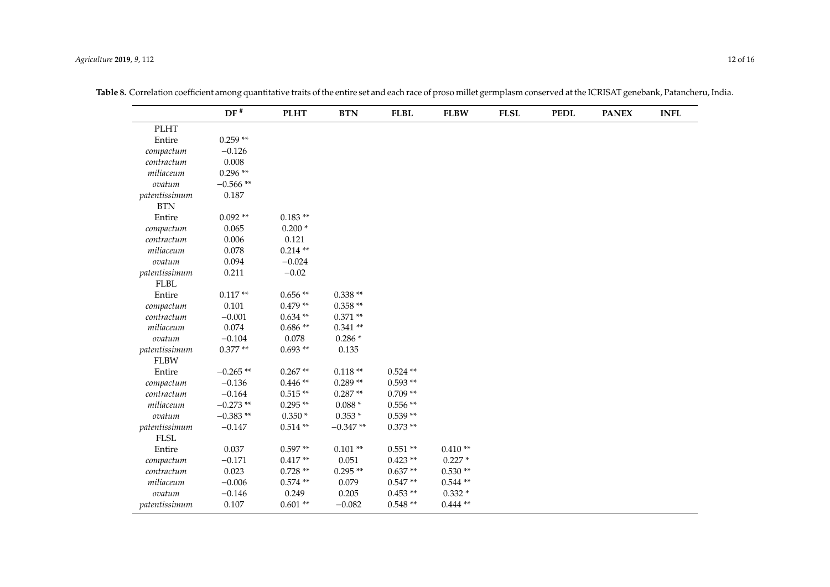|               | $DF^*$     | <b>PLHT</b> | <b>BTN</b> | <b>FLBL</b> | <b>FLBW</b> | <b>FLSL</b> | <b>PEDL</b> | <b>PANEX</b> | <b>INFL</b> |
|---------------|------------|-------------|------------|-------------|-------------|-------------|-------------|--------------|-------------|
| <b>PLHT</b>   |            |             |            |             |             |             |             |              |             |
| Entire        | $0.259**$  |             |            |             |             |             |             |              |             |
| compactum     | $-0.126$   |             |            |             |             |             |             |              |             |
| contractum    | 0.008      |             |            |             |             |             |             |              |             |
| miliaceum     | $0.296**$  |             |            |             |             |             |             |              |             |
| ovatum        | $-0.566**$ |             |            |             |             |             |             |              |             |
| patentissimum | 0.187      |             |            |             |             |             |             |              |             |
| <b>BTN</b>    |            |             |            |             |             |             |             |              |             |
| Entire        | $0.092**$  | $0.183**$   |            |             |             |             |             |              |             |
| compactum     | 0.065      | $0.200*$    |            |             |             |             |             |              |             |
| contractum    | 0.006      | 0.121       |            |             |             |             |             |              |             |
| miliaceum     | 0.078      | $0.214**$   |            |             |             |             |             |              |             |
| ovatum        | 0.094      | $-0.024$    |            |             |             |             |             |              |             |
| patentissimum | 0.211      | $-0.02$     |            |             |             |             |             |              |             |
| <b>FLBL</b>   |            |             |            |             |             |             |             |              |             |
| Entire        | $0.117**$  | $0.656**$   | $0.338**$  |             |             |             |             |              |             |
| compactum     | 0.101      | $0.479**$   | $0.358**$  |             |             |             |             |              |             |
| contractum    | $-0.001$   | $0.634**$   | $0.371**$  |             |             |             |             |              |             |
| miliaceum     | 0.074      | $0.686**$   | $0.341**$  |             |             |             |             |              |             |
| ovatum        | $-0.104$   | 0.078       | $0.286*$   |             |             |             |             |              |             |
| patentissimum | $0.377**$  | $0.693**$   | 0.135      |             |             |             |             |              |             |
| <b>FLBW</b>   |            |             |            |             |             |             |             |              |             |
| Entire        | $-0.265**$ | $0.267**$   | $0.118**$  | $0.524**$   |             |             |             |              |             |
| compactum     | $-0.136$   | $0.446**$   | $0.289**$  | $0.593**$   |             |             |             |              |             |
| contractum    | $-0.164$   | $0.515**$   | $0.287**$  | $0.709**$   |             |             |             |              |             |
| miliaceum     | $-0.273**$ | $0.295**$   | $0.088*$   | $0.556**$   |             |             |             |              |             |
| ovatum        | $-0.383**$ | $0.350*$    | $0.353*$   | $0.539**$   |             |             |             |              |             |
| patentissimum | $-0.147$   | $0.514**$   | $-0.347**$ | $0.373**$   |             |             |             |              |             |
| <b>FLSL</b>   |            |             |            |             |             |             |             |              |             |
| Entire        | 0.037      | $0.597**$   | $0.101**$  | $0.551**$   | $0.410**$   |             |             |              |             |
| compactum     | $-0.171$   | $0.417**$   | 0.051      | $0.423**$   | $0.227*$    |             |             |              |             |
| contractum    | 0.023      | $0.728**$   | $0.295**$  | $0.637**$   | $0.530**$   |             |             |              |             |
| miliaceum     | $-0.006$   | $0.574**$   | 0.079      | $0.547**$   | $0.544**$   |             |             |              |             |
| ovatum        | $-0.146$   | 0.249       | 0.205      | $0.453**$   | $0.332*$    |             |             |              |             |
| patentissimum | 0.107      | $0.601**$   | $-0.082$   | $0.548**$   | $0.444**$   |             |             |              |             |

**Table 8.** Correlation coefficient among quantitative traits of the entire set and each race of proso millet germplasm conserved at the ICRISAT genebank, Patancheru, India.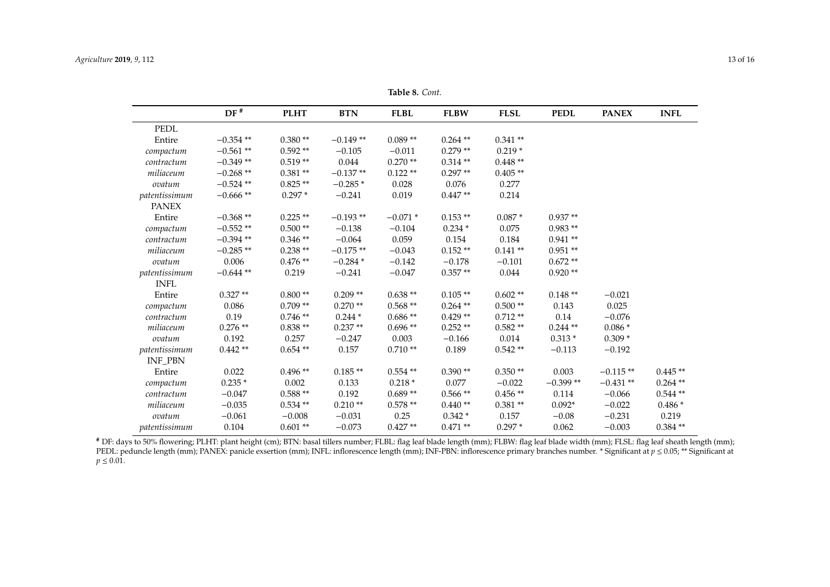| Table 8. Cont. |  |  |  |
|----------------|--|--|--|
|----------------|--|--|--|

|                | $DF^*$      | <b>PLHT</b> | <b>BTN</b> | <b>FLBL</b> | <b>FLBW</b> | <b>FLSL</b> | <b>PEDL</b> | <b>PANEX</b> | <b>INFL</b> |
|----------------|-------------|-------------|------------|-------------|-------------|-------------|-------------|--------------|-------------|
| <b>PEDL</b>    |             |             |            |             |             |             |             |              |             |
| Entire         | $-0.354$ ** | $0.380**$   | $-0.149**$ | $0.089**$   | $0.264$ **  | $0.341**$   |             |              |             |
| compactum      | $-0.561**$  | $0.592**$   | $-0.105$   | $-0.011$    | $0.279**$   | $0.219*$    |             |              |             |
| contractum     | $-0.349**$  | $0.519**$   | 0.044      | $0.270**$   | $0.314**$   | $0.448**$   |             |              |             |
| miliaceum      | $-0.268**$  | $0.381**$   | $-0.137**$ | $0.122**$   | $0.297**$   | $0.405**$   |             |              |             |
| ovatum         | $-0.524$ ** | $0.825**$   | $-0.285*$  | 0.028       | 0.076       | 0.277       |             |              |             |
| patentissimum  | $-0.666$ ** | $0.297*$    | $-0.241$   | 0.019       | $0.447**$   | 0.214       |             |              |             |
| <b>PANEX</b>   |             |             |            |             |             |             |             |              |             |
| Entire         | $-0.368**$  | $0.225**$   | $-0.193**$ | $-0.071*$   | $0.153**$   | $0.087*$    | $0.937**$   |              |             |
| compactum      | $-0.552**$  | $0.500**$   | $-0.138$   | $-0.104$    | $0.234*$    | 0.075       | $0.983**$   |              |             |
| contractum     | $-0.394**$  | $0.346**$   | $-0.064$   | 0.059       | 0.154       | 0.184       | $0.941**$   |              |             |
| miliaceum      | $-0.285**$  | $0.238**$   | $-0.175**$ | $-0.043$    | $0.152**$   | $0.141**$   | $0.951**$   |              |             |
| ovatum         | 0.006       | $0.476**$   | $-0.284*$  | $-0.142$    | $-0.178$    | $-0.101$    | $0.672**$   |              |             |
| patentissimum  | $-0.644**$  | 0.219       | $-0.241$   | $-0.047$    | $0.357**$   | 0.044       | $0.920**$   |              |             |
| <b>INFL</b>    |             |             |            |             |             |             |             |              |             |
| Entire         | $0.327**$   | $0.800**$   | $0.209**$  | $0.638**$   | $0.105**$   | $0.602**$   | $0.148**$   | $-0.021$     |             |
| compactum      | 0.086       | $0.709**$   | $0.270**$  | $0.568**$   | $0.264$ **  | $0.500**$   | 0.143       | 0.025        |             |
| contractum     | 0.19        | $0.746**$   | $0.244*$   | $0.686**$   | $0.429**$   | $0.712**$   | 0.14        | $-0.076$     |             |
| miliaceum      | $0.276**$   | $0.838**$   | $0.237**$  | $0.696**$   | $0.252**$   | $0.582**$   | $0.244$ **  | $0.086*$     |             |
| ovatum         | 0.192       | 0.257       | $-0.247$   | 0.003       | $-0.166$    | 0.014       | $0.313*$    | $0.309*$     |             |
| patentissimum  | $0.442**$   | $0.654**$   | 0.157      | $0.710**$   | 0.189       | $0.542**$   | $-0.113$    | $-0.192$     |             |
| <b>INF_PBN</b> |             |             |            |             |             |             |             |              |             |
| Entire         | 0.022       | $0.496**$   | $0.185**$  | $0.554$ **  | $0.390**$   | $0.350**$   | 0.003       | $-0.115**$   | $0.445**$   |
| compactum      | $0.235*$    | 0.002       | 0.133      | $0.218*$    | 0.077       | $-0.022$    | $-0.399**$  | $-0.431**$   | $0.264$ **  |
| contractum     | $-0.047$    | $0.588**$   | 0.192      | $0.689**$   | $0.566**$   | $0.456**$   | 0.114       | $-0.066$     | $0.544**$   |
| miliaceum      | $-0.035$    | $0.534**$   | $0.210**$  | $0.578**$   | $0.440**$   | $0.381**$   | $0.092*$    | $-0.022$     | $0.486*$    |
| ovatum         | $-0.061$    | $-0.008$    | $-0.031$   | 0.25        | $0.342*$    | 0.157       | $-0.08$     | $-0.231$     | 0.219       |
| patentissimum  | 0.104       | $0.601**$   | $-0.073$   | $0.427**$   | $0.471**$   | $0.297*$    | 0.062       | $-0.003$     | $0.384**$   |

<span id="page-12-0"></span>**#** DF: days to 50% flowering; PLHT: plant height (cm); BTN: basal tillers number; FLBL: flag leaf blade length (mm); FLBW: flag leaf blade width (mm); FLSL: flag leaf sheath length (mm); PEDL: peduncle length (mm); PANEX: panicle exsertion (mm); INFL: inflorescence length (mm); INF-PBN: inflorescence primary branches number. \* Significant at *p* ≤ 0.05; \*\* Significant at  $p \le 0.01$ .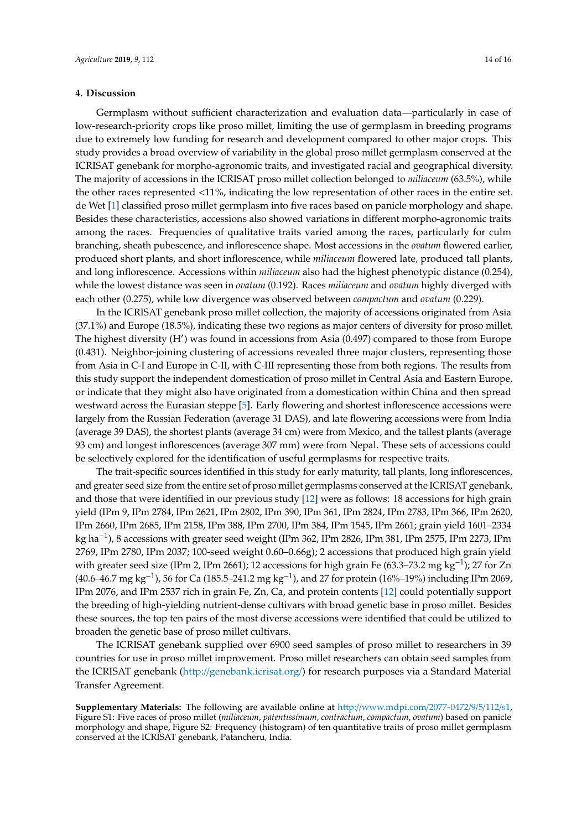## **4. Discussion**

Germplasm without sufficient characterization and evaluation data—particularly in case of low-research-priority crops like proso millet, limiting the use of germplasm in breeding programs due to extremely low funding for research and development compared to other major crops. This study provides a broad overview of variability in the global proso millet germplasm conserved at the ICRISAT genebank for morpho-agronomic traits, and investigated racial and geographical diversity. The majority of accessions in the ICRISAT proso millet collection belonged to *miliaceum* (63.5%), while the other races represented <11%, indicating the low representation of other races in the entire set. de Wet [\[1\]](#page-14-0) classified proso millet germplasm into five races based on panicle morphology and shape. Besides these characteristics, accessions also showed variations in different morpho-agronomic traits among the races. Frequencies of qualitative traits varied among the races, particularly for culm branching, sheath pubescence, and inflorescence shape. Most accessions in the *ovatum* flowered earlier, produced short plants, and short inflorescence, while *miliaceum* flowered late, produced tall plants, and long inflorescence. Accessions within *miliaceum* also had the highest phenotypic distance (0.254), while the lowest distance was seen in *ovatum* (0.192). Races *miliaceum* and *ovatum* highly diverged with each other (0.275), while low divergence was observed between *compactum* and *ovatum* (0.229).

In the ICRISAT genebank proso millet collection, the majority of accessions originated from Asia (37.1%) and Europe (18.5%), indicating these two regions as major centers of diversity for proso millet. The highest diversity (H') was found in accessions from Asia (0.497) compared to those from Europe (0.431). Neighbor-joining clustering of accessions revealed three major clusters, representing those from Asia in C-I and Europe in C-II, with C-III representing those from both regions. The results from this study support the independent domestication of proso millet in Central Asia and Eastern Europe, or indicate that they might also have originated from a domestication within China and then spread westward across the Eurasian steppe [\[5\]](#page-14-4). Early flowering and shortest inflorescence accessions were largely from the Russian Federation (average 31 DAS), and late flowering accessions were from India (average 39 DAS), the shortest plants (average 34 cm) were from Mexico, and the tallest plants (average 93 cm) and longest inflorescences (average 307 mm) were from Nepal. These sets of accessions could be selectively explored for the identification of useful germplasms for respective traits.

The trait-specific sources identified in this study for early maturity, tall plants, long inflorescences, and greater seed size from the entire set of proso millet germplasms conserved at the ICRISAT genebank, and those that were identified in our previous study [\[12\]](#page-14-11) were as follows: 18 accessions for high grain yield (IPm 9, IPm 2784, IPm 2621, IPm 2802, IPm 390, IPm 361, IPm 2824, IPm 2783, IPm 366, IPm 2620, IPm 2660, IPm 2685, IPm 2158, IPm 388, IPm 2700, IPm 384, IPm 1545, IPm 2661; grain yield 1601–2334 kg ha−<sup>1</sup> ), 8 accessions with greater seed weight (IPm 362, IPm 2826, IPm 381, IPm 2575, IPm 2273, IPm 2769, IPm 2780, IPm 2037; 100-seed weight 0.60–0.66g); 2 accessions that produced high grain yield with greater seed size (IPm 2, IPm 2661); 12 accessions for high grain Fe (63.3–73.2 mg kg<sup>-1</sup>); 27 for Zn (40.6–46.7 mg kg−<sup>1</sup> ), 56 for Ca (185.5–241.2 mg kg−<sup>1</sup> ), and 27 for protein (16%–19%) including IPm 2069, IPm 2076, and IPm 2537 rich in grain Fe, Zn, Ca, and protein contents [\[12\]](#page-14-11) could potentially support the breeding of high-yielding nutrient-dense cultivars with broad genetic base in proso millet. Besides these sources, the top ten pairs of the most diverse accessions were identified that could be utilized to broaden the genetic base of proso millet cultivars.

The ICRISAT genebank supplied over 6900 seed samples of proso millet to researchers in 39 countries for use in proso millet improvement. Proso millet researchers can obtain seed samples from the ICRISAT genebank (http://[genebank.icrisat.org](http://genebank.icrisat.org/)/) for research purposes via a Standard Material Transfer Agreement.

**Supplementary Materials:** The following are available online at http://[www.mdpi.com](http://www.mdpi.com/2077-0472/9/5/112/s1)/2077-0472/9/5/112/s1, Figure S1: Five races of proso millet (*miliaceum*, *patentissimum*, *contractum*, *compactum*, *ovatum*) based on panicle morphology and shape, Figure S2: Frequency (histogram) of ten quantitative traits of proso millet germplasm conserved at the ICRISAT genebank, Patancheru, India.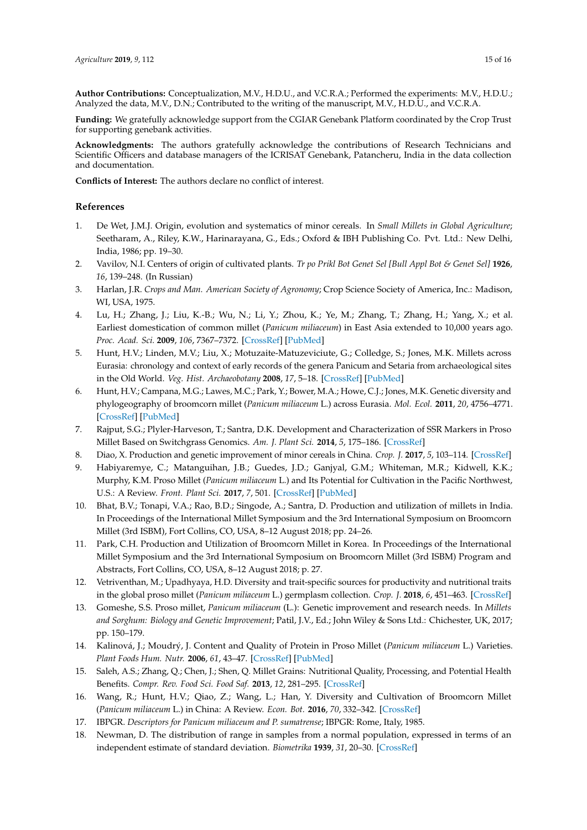**Author Contributions:** Conceptualization, M.V., H.D.U., and V.C.R.A.; Performed the experiments: M.V., H.D.U.; Analyzed the data, M.V., D.N.; Contributed to the writing of the manuscript, M.V., H.D.U., and V.C.R.A.

**Funding:** We gratefully acknowledge support from the CGIAR Genebank Platform coordinated by the Crop Trust for supporting genebank activities.

**Acknowledgments:** The authors gratefully acknowledge the contributions of Research Technicians and Scientific Officers and database managers of the ICRISAT Genebank, Patancheru, India in the data collection and documentation.

**Conflicts of Interest:** The authors declare no conflict of interest.

## **References**

- <span id="page-14-0"></span>1. De Wet, J.M.J. Origin, evolution and systematics of minor cereals. In *Small Millets in Global Agriculture*; Seetharam, A., Riley, K.W., Harinarayana, G., Eds.; Oxford & IBH Publishing Co. Pvt. Ltd.: New Delhi, India, 1986; pp. 19–30.
- <span id="page-14-1"></span>2. Vavilov, N.I. Centers of origin of cultivated plants. *Tr po Prikl Bot Genet Sel [Bull Appl Bot & Genet Sel]* **1926**, *16*, 139–248. (In Russian)
- <span id="page-14-2"></span>3. Harlan, J.R. *Crops and Man. American Society of Agronomy*; Crop Science Society of America, Inc.: Madison, WI, USA, 1975.
- <span id="page-14-3"></span>4. Lu, H.; Zhang, J.; Liu, K.-B.; Wu, N.; Li, Y.; Zhou, K.; Ye, M.; Zhang, T.; Zhang, H.; Yang, X.; et al. Earliest domestication of common millet (*Panicum miliaceum*) in East Asia extended to 10,000 years ago. *Proc. Acad. Sci.* **2009**, *106*, 7367–7372. [\[CrossRef\]](http://dx.doi.org/10.1073/pnas.0900158106) [\[PubMed\]](http://www.ncbi.nlm.nih.gov/pubmed/19383791)
- <span id="page-14-4"></span>5. Hunt, H.V.; Linden, M.V.; Liu, X.; Motuzaite-Matuzeviciute, G.; Colledge, S.; Jones, M.K. Millets across Eurasia: chronology and context of early records of the genera Panicum and Setaria from archaeological sites in the Old World. *Veg. Hist. Archaeobotany* **2008**, *17*, 5–18. [\[CrossRef\]](http://dx.doi.org/10.1007/s00334-008-0187-1) [\[PubMed\]](http://www.ncbi.nlm.nih.gov/pubmed/19657476)
- <span id="page-14-5"></span>6. Hunt, H.V.; Campana, M.G.; Lawes, M.C.; Park, Y.; Bower, M.A.; Howe, C.J.; Jones, M.K. Genetic diversity and phylogeography of broomcorn millet (*Panicum miliaceum* L.) across Eurasia. *Mol. Ecol.* **2011**, *20*, 4756–4771. [\[CrossRef\]](http://dx.doi.org/10.1111/j.1365-294X.2011.05318.x) [\[PubMed\]](http://www.ncbi.nlm.nih.gov/pubmed/22004244)
- <span id="page-14-6"></span>7. Rajput, S.G.; Plyler-Harveson, T.; Santra, D.K. Development and Characterization of SSR Markers in Proso Millet Based on Switchgrass Genomics. *Am. J. Plant Sci.* **2014**, *5*, 175–186. [\[CrossRef\]](http://dx.doi.org/10.4236/ajps.2014.51023)
- <span id="page-14-7"></span>8. Diao, X. Production and genetic improvement of minor cereals in China. *Crop. J.* **2017**, *5*, 103–114. [\[CrossRef\]](http://dx.doi.org/10.1016/j.cj.2016.06.004)
- <span id="page-14-8"></span>9. Habiyaremye, C.; Matanguihan, J.B.; Guedes, J.D.; Ganjyal, G.M.; Whiteman, M.R.; Kidwell, K.K.; Murphy, K.M. Proso Millet (*Panicum miliaceum* L.) and Its Potential for Cultivation in the Pacific Northwest, U.S.: A Review. *Front. Plant Sci.* **2017**, *7*, 501. [\[CrossRef\]](http://dx.doi.org/10.3389/fpls.2016.01961) [\[PubMed\]](http://www.ncbi.nlm.nih.gov/pubmed/28119699)
- <span id="page-14-18"></span><span id="page-14-9"></span>10. Bhat, B.V.; Tonapi, V.A.; Rao, B.D.; Singode, A.; Santra, D. Production and utilization of millets in India. In Proceedings of the International Millet Symposium and the 3rd International Symposium on Broomcorn Millet (3rd ISBM), Fort Collins, CO, USA, 8–12 August 2018; pp. 24–26.
- <span id="page-14-10"></span>11. Park, C.H. Production and Utilization of Broomcorn Millet in Korea. In Proceedings of the International Millet Symposium and the 3rd International Symposium on Broomcorn Millet (3rd ISBM) Program and Abstracts, Fort Collins, CO, USA, 8–12 August 2018; p. 27.
- <span id="page-14-11"></span>12. Vetriventhan, M.; Upadhyaya, H.D. Diversity and trait-specific sources for productivity and nutritional traits in the global proso millet (*Panicum miliaceum* L.) germplasm collection. *Crop. J.* **2018**, *6*, 451–463. [\[CrossRef\]](http://dx.doi.org/10.1016/j.cj.2018.04.002)
- <span id="page-14-12"></span>13. Gomeshe, S.S. Proso millet, *Panicum miliaceum* (L.): Genetic improvement and research needs. In *Millets and Sorghum: Biology and Genetic Improvement*; Patil, J.V., Ed.; John Wiley & Sons Ltd.: Chichester, UK, 2017; pp. 150–179.
- <span id="page-14-13"></span>14. Kalinová, J.; Moudrý, J. Content and Quality of Protein in Proso Millet (*Panicum miliaceum* L.) Varieties. *Plant Foods Hum. Nutr.* **2006**, *61*, 43–47. [\[CrossRef\]](http://dx.doi.org/10.1007/s11130-006-0013-9) [\[PubMed\]](http://www.ncbi.nlm.nih.gov/pubmed/16688479)
- <span id="page-14-14"></span>15. Saleh, A.S.; Zhang, Q.; Chen, J.; Shen, Q. Millet Grains: Nutritional Quality, Processing, and Potential Health Benefits. *Compr. Rev. Food Sci. Food Saf.* **2013**, *12*, 281–295. [\[CrossRef\]](http://dx.doi.org/10.1111/1541-4337.12012)
- <span id="page-14-15"></span>16. Wang, R.; Hunt, H.V.; Qiao, Z.; Wang, L.; Han, Y. Diversity and Cultivation of Broomcorn Millet (*Panicum miliaceum* L.) in China: A Review. *Econ. Bot.* **2016**, *70*, 332–342. [\[CrossRef\]](http://dx.doi.org/10.1007/s12231-016-9357-8)
- <span id="page-14-16"></span>17. IBPGR. *Descriptors for Panicum miliaceum and P. sumatrense*; IBPGR: Rome, Italy, 1985.
- <span id="page-14-17"></span>18. Newman, D. The distribution of range in samples from a normal population, expressed in terms of an independent estimate of standard deviation. *Biometrika* **1939**, *31*, 20–30. [\[CrossRef\]](http://dx.doi.org/10.1093/biomet/31.1-2.20)